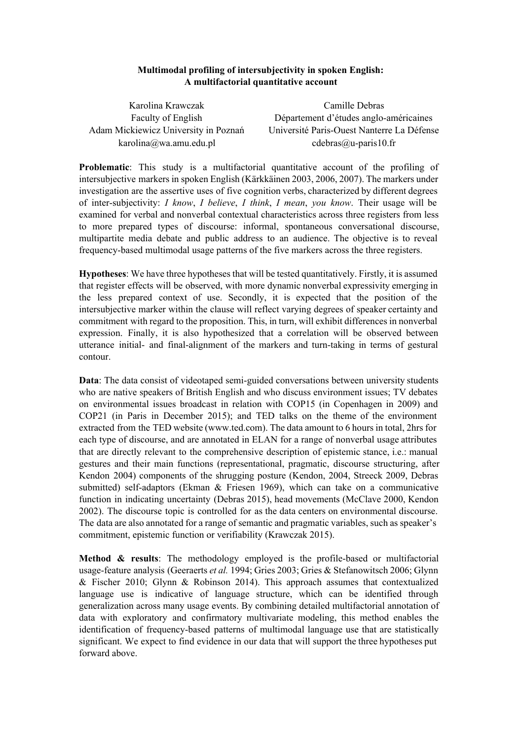## **Multimodal profiling of intersubjectivity in spoken English: A multifactorial quantitative account**

| Karolina Krawczak                    | Camille Debras                             |
|--------------------------------------|--------------------------------------------|
| <b>Faculty of English</b>            | Département d'études anglo-américaines     |
| Adam Mickiewicz University in Poznań | Université Paris-Ouest Nanterre La Défense |
| karolina@wa.amu.edu.pl               | $cdebras@u-paris10.fr$                     |

**Problematic**: This study is a multifactorial quantitative account of the profiling of intersubjective markers in spoken English (Kärkkäinen 2003, 2006, 2007). The markers under investigation are the assertive uses of five cognition verbs, characterized by different degrees of intersubjectivity: *I know*, *I believe*, *I think*, *I mean*, *you know*. Their usage will be examined for verbal and nonverbal contextual characteristics across three registers from less to more prepared types of discourse: informal, spontaneous conversational discourse, multipartite media debate and public address to an audience. The objective is to reveal frequency-based multimodal usage patterns of the five markers across the three registers.

**Hypotheses**: We have three hypotheses that will be tested quantitatively. Firstly, it is assumed that register effects will be observed, with more dynamic nonverbal expressivity emerging in the less prepared context of use. Secondly, it is expected that the position of the intersubjective marker within the clause will reflect varying degrees of speaker certainty and commitment with regard to the proposition. This, in turn, will exhibit differences in nonverbal expression. Finally, it is also hypothesized that a correlation will be observed between utterance initial- and final-alignment of the markers and turn-taking in terms of gestural contour.

**Data**: The data consist of videotaped semi-guided conversations between university students who are native speakers of British English and who discuss environment issues; TV debates on environmental issues broadcast in relation with COP15 (in Copenhagen in 2009) and COP21 (in Paris in December 2015); and TED talks on the theme of the environment extracted from the TED website (www.ted.com). The data amount to 6 hours in total, 2hrs for each type of discourse, and are annotated in ELAN for a range of nonverbal usage attributes that are directly relevant to the comprehensive description of epistemic stance, i.e.: manual gestures and their main functions (representational, pragmatic, discourse structuring, after Kendon 2004) components of the shrugging posture (Kendon, 2004, Streeck 2009, Debras submitted) self-adaptors (Ekman & Friesen 1969), which can take on a communicative function in indicating uncertainty (Debras 2015), head movements (McClave 2000, Kendon 2002). The discourse topic is controlled for as the data centers on environmental discourse. The data are also annotated for a range of semantic and pragmatic variables, such as speaker's commitment, epistemic function or verifiability (Krawczak 2015).

**Method & results**: The methodology employed is the profile-based or multifactorial usage-feature analysis (Geeraerts *et al.* 1994; Gries 2003; Gries & Stefanowitsch 2006; Glynn & Fischer 2010; Glynn & Robinson 2014). This approach assumes that contextualized language use is indicative of language structure, which can be identified through generalization across many usage events. By combining detailed multifactorial annotation of data with exploratory and confirmatory multivariate modeling, this method enables the identification of frequency-based patterns of multimodal language use that are statistically significant. We expect to find evidence in our data that will support the three hypotheses put forward above.